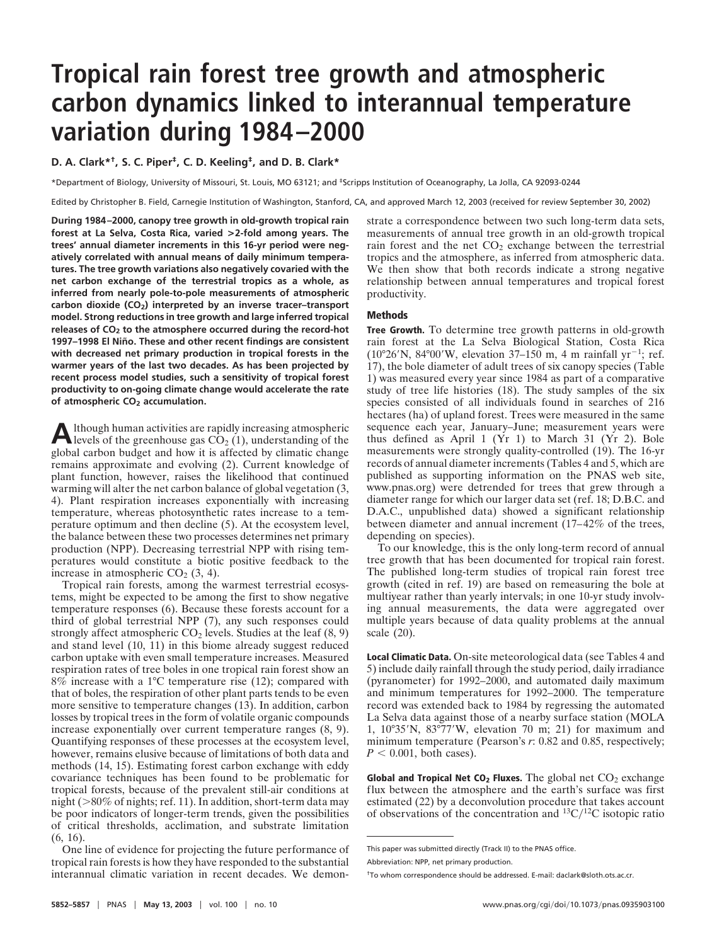# **Tropical rain forest tree growth and atmospheric carbon dynamics linked to interannual temperature variation during 1984–2000**

**D. A. Clark\*†, S. C. Piper‡, C. D. Keeling‡, and D. B. Clark\***

\*Department of Biology, University of Missouri, St. Louis, MO 63121; and ‡Scripps Institution of Oceanography, La Jolla, CA 92093-0244

Edited by Christopher B. Field, Carnegie Institution of Washington, Stanford, CA, and approved March 12, 2003 (received for review September 30, 2002)

**During 1984–2000, canopy tree growth in old-growth tropical rain forest at La Selva, Costa Rica, varied >2-fold among years. The trees' annual diameter increments in this 16-yr period were negatively correlated with annual means of daily minimum temperatures. The tree growth variations also negatively covaried with the net carbon exchange of the terrestrial tropics as a whole, as inferred from nearly pole-to-pole measurements of atmospheric carbon dioxide (CO2) interpreted by an inverse tracer–transport model. Strong reductions in tree growth and large inferred tropical releases of CO2 to the atmosphere occurred during the record-hot** 1997–1998 El Niño. These and other recent findings are consistent **with decreased net primary production in tropical forests in the warmer years of the last two decades. As has been projected by recent process model studies, such a sensitivity of tropical forest productivity to on-going climate change would accelerate the rate of atmospheric CO2 accumulation.**

**A** lthough human activities are rapidly increasing atmospheric<br>levels of the greenhouse gas  $CO<sub>2</sub>(1)$ , understanding of the global carbon budget and how it is affected by climatic change remains approximate and evolving (2). Current knowledge of plant function, however, raises the likelihood that continued warming will alter the net carbon balance of global vegetation (3, 4). Plant respiration increases exponentially with increasing temperature, whereas photosynthetic rates increase to a temperature optimum and then decline (5). At the ecosystem level, the balance between these two processes determines net primary production (NPP). Decreasing terrestrial NPP with rising temperatures would constitute a biotic positive feedback to the increase in atmospheric  $CO<sub>2</sub>$  (3, 4).

Tropical rain forests, among the warmest terrestrial ecosystems, might be expected to be among the first to show negative temperature responses (6). Because these forests account for a third of global terrestrial NPP (7), any such responses could strongly affect atmospheric  $CO<sub>2</sub>$  levels. Studies at the leaf  $(8, 9)$ and stand level (10, 11) in this biome already suggest reduced carbon uptake with even small temperature increases. Measured respiration rates of tree boles in one tropical rain forest show an 8% increase with a 1°C temperature rise (12); compared with that of boles, the respiration of other plant parts tends to be even more sensitive to temperature changes (13). In addition, carbon losses by tropical trees in the form of volatile organic compounds increase exponentially over current temperature ranges (8, 9). Quantifying responses of these processes at the ecosystem level, however, remains elusive because of limitations of both data and methods (14, 15). Estimating forest carbon exchange with eddy covariance techniques has been found to be problematic for tropical forests, because of the prevalent still-air conditions at night ( $>80\%$  of nights; ref. 11). In addition, short-term data may be poor indicators of longer-term trends, given the possibilities of critical thresholds, acclimation, and substrate limitation (6, 16).

One line of evidence for projecting the future performance of tropical rain forests is how they have responded to the substantial interannual climatic variation in recent decades. We demonstrate a correspondence between two such long-term data sets, measurements of annual tree growth in an old-growth tropical rain forest and the net  $CO<sub>2</sub>$  exchange between the terrestrial tropics and the atmosphere, as inferred from atmospheric data. We then show that both records indicate a strong negative relationship between annual temperatures and tropical forest productivity.

## **Methods**

**Tree Growth.** To determine tree growth patterns in old-growth rain forest at the La Selva Biological Station, Costa Rica  $(10^{\circ}26'N, 84^{\circ}00'W,$  elevation 37–150 m, 4 m rainfall yr<sup>-1</sup>; ref. 17), the bole diameter of adult trees of six canopy species (Table 1) was measured every year since 1984 as part of a comparative study of tree life histories (18). The study samples of the six species consisted of all individuals found in searches of 216 hectares (ha) of upland forest. Trees were measured in the same sequence each year, January–June; measurement years were thus defined as April 1 (Yr 1) to March 31 (Yr 2). Bole measurements were strongly quality-controlled (19). The 16-yr records of annual diameter increments (Tables 4 and 5, which are published as supporting information on the PNAS web site, www.pnas.org) were detrended for trees that grew through a diameter range for which our larger data set (ref. 18; D.B.C. and D.A.C., unpublished data) showed a significant relationship between diameter and annual increment (17–42% of the trees, depending on species).

To our knowledge, this is the only long-term record of annual tree growth that has been documented for tropical rain forest. The published long-term studies of tropical rain forest tree growth (cited in ref. 19) are based on remeasuring the bole at multiyear rather than yearly intervals; in one 10-yr study involving annual measurements, the data were aggregated over multiple years because of data quality problems at the annual scale (20).

**Local Climatic Data.** On-site meteorological data (see Tables 4 and 5) include daily rainfall through the study period, daily irradiance (pyranometer) for 1992–2000, and automated daily maximum and minimum temperatures for 1992–2000. The temperature record was extended back to 1984 by regressing the automated La Selva data against those of a nearby surface station (MOLA 1,  $10^{\circ}35'$ N,  $83^{\circ}77'$ W, elevation 70 m; 21) for maximum and minimum temperature (Pearson's *r*: 0.82 and 0.85, respectively;  $P < 0.001$ , both cases).

**Global and Tropical Net CO<sub>2</sub> Fluxes.** The global net CO<sub>2</sub> exchange flux between the atmosphere and the earth's surface was first estimated (22) by a deconvolution procedure that takes account of observations of the concentration and  ${}^{13}C/{}^{12}C$  isotopic ratio

This paper was submitted directly (Track II) to the PNAS office.

Abbreviation: NPP, net primary production.

<sup>†</sup>To whom correspondence should be addressed. E-mail: daclark@sloth.ots.ac.cr.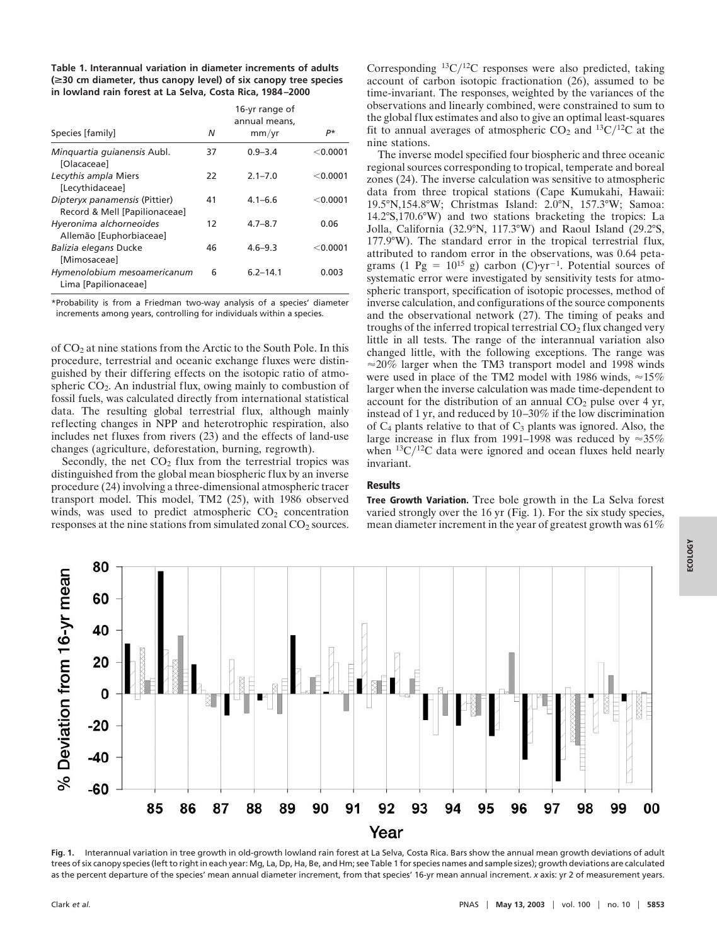**Table 1. Interannual variation in diameter increments of adults (**>**30 cm diameter, thus canopy level) of six canopy tree species in lowland rain forest at La Selva, Costa Rica, 1984–2000**

| Species [family]                                               | Ν  | 16-yr range of<br>annual means,<br>mm/yr | р*         |
|----------------------------------------------------------------|----|------------------------------------------|------------|
| Minguartia guianensis Aubl.<br>[Olacaceae]                     | 37 | $0.9 - 3.4$                              | < 0.0001   |
| Lecythis ampla Miers<br>[Lecythidaceae]                        | 22 | $2.1 - 7.0$                              | $<$ 0.0001 |
| Dipteryx panamensis (Pittier)<br>Record & Mell [Papilionaceae] | 41 | $4.1 - 6.6$                              | $<$ 0.0001 |
| Hyeronima alchorneoides<br>Allemão [Euphorbiaceae]             | 12 | $4.7 - 8.7$                              | 0.06       |
| Balizia elegans Ducke<br>[Mimosaceae]                          | 46 | $4.6 - 9.3$                              | $<$ 0.0001 |
| Hymenolobium mesoamericanum<br>Lima [Papilionaceae]            | 6  | $6.2 - 14.1$                             | 0.003      |

\*Probability is from a Friedman two-way analysis of a species' diameter increments among years, controlling for individuals within a species.

of CO2 at nine stations from the Arctic to the South Pole. In this procedure, terrestrial and oceanic exchange fluxes were distinguished by their differing effects on the isotopic ratio of atmospheric  $CO<sub>2</sub>$ . An industrial flux, owing mainly to combustion of fossil fuels, was calculated directly from international statistical data. The resulting global terrestrial flux, although mainly reflecting changes in NPP and heterotrophic respiration, also includes net fluxes from rivers (23) and the effects of land-use changes (agriculture, deforestation, burning, regrowth).

Secondly, the net  $CO<sub>2</sub>$  flux from the terrestrial tropics was distinguished from the global mean biospheric flux by an inverse procedure (24) involving a three-dimensional atmospheric tracer transport model. This model, TM2 (25), with 1986 observed winds, was used to predict atmospheric  $CO<sub>2</sub>$  concentration responses at the nine stations from simulated zonal CO<sub>2</sub> sources. Corresponding  ${}^{13}C/{}^{12}C$  responses were also predicted, taking account of carbon isotopic fractionation (26), assumed to be time-invariant. The responses, weighted by the variances of the observations and linearly combined, were constrained to sum to the global flux estimates and also to give an optimal least-squares fit to annual averages of atmospheric  $CO_2$  and  $^{13}C/^{12}C$  at the nine stations.

The inverse model specified four biospheric and three oceanic regional sources corresponding to tropical, temperate and boreal zones (24). The inverse calculation was sensitive to atmospheric data from three tropical stations (Cape Kumukahi, Hawaii: 19.5°N,154.8°W; Christmas Island: 2.0°N, 157.3°W; Samoa: 14.2°S,170.6°W) and two stations bracketing the tropics: La Jolla, California (32.9°N, 117.3°W) and Raoul Island (29.2°S, 177.9°W). The standard error in the tropical terrestrial flux, attributed to random error in the observations, was 0.64 petagrams (1 Pg =  $10^{15}$  g) carbon (C) $yr^{-1}$ . Potential sources of systematic error were investigated by sensitivity tests for atmospheric transport, specification of isotopic processes, method of inverse calculation, and configurations of the source components and the observational network (27). The timing of peaks and troughs of the inferred tropical terrestrial  $CO<sub>2</sub>$  flux changed very little in all tests. The range of the interannual variation also changed little, with the following exceptions. The range was  $\approx$ 20% larger when the TM3 transport model and 1998 winds were used in place of the TM2 model with 1986 winds,  $\approx 15\%$ larger when the inverse calculation was made time-dependent to account for the distribution of an annual  $CO<sub>2</sub>$  pulse over 4 yr, instead of 1 yr, and reduced by 10–30% if the low discrimination of  $C_4$  plants relative to that of  $C_3$  plants was ignored. Also, the large increase in flux from 1991–1998 was reduced by  $\approx 35\%$ when  $13C/12C$  data were ignored and ocean fluxes held nearly invariant.

# **Results**

**Tree Growth Variation.** Tree bole growth in the La Selva forest varied strongly over the 16 yr (Fig. 1). For the six study species, mean diameter increment in the year of greatest growth was 61%



**Fig. 1.** Interannual variation in tree growth in old-growth lowland rain forest at La Selva, Costa Rica. Bars show the annual mean growth deviations of adult trees of six canopy species (left to right in each year: Mg, La, Dp, Ha, Be, and Hm; see Table 1 for species names and sample sizes); growth deviations are calculated as the percent departure of the species' mean annual diameter increment, from that species' 16-yr mean annual increment. *x* axis: yr 2 of measurement years.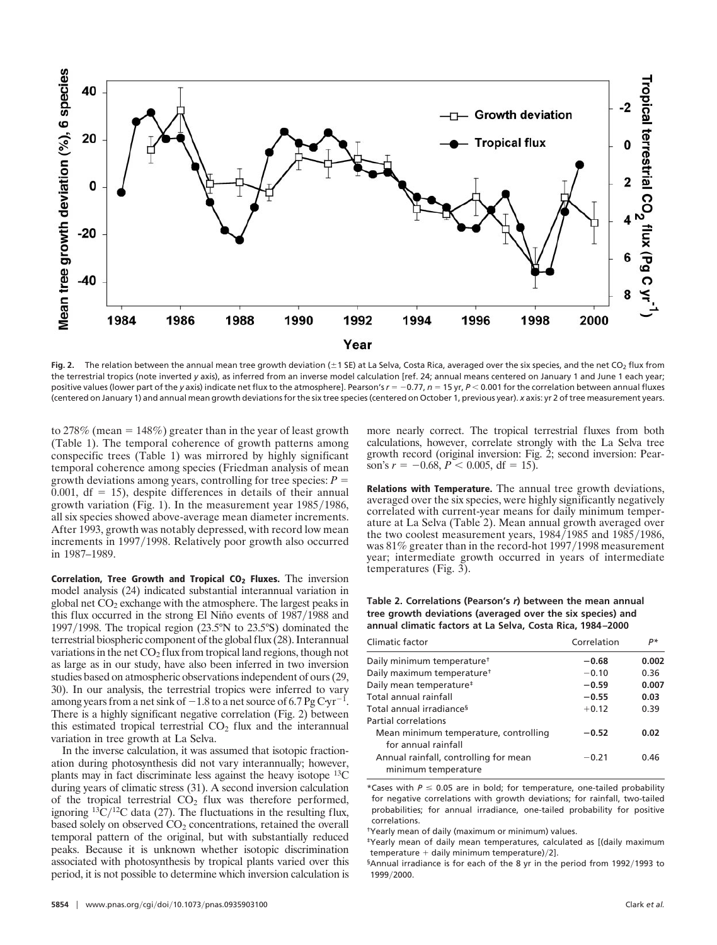

Fig. 2. The relation between the annual mean tree growth deviation ( $\pm$ 1 SE) at La Selva, Costa Rica, averaged over the six species, and the net CO<sub>2</sub> flux from the terrestrial tropics (note inverted *y* axis), as inferred from an inverse model calculation [ref. 24; annual means centered on January 1 and June 1 each year; positive values (lower part of the *y* axis) indicate net flux to the atmosphere]. Pearson's  $r = -0.77$ ,  $n = 15$  yr,  $P < 0.001$  for the correlation between annual fluxes (centered on January 1) and annual mean growth deviations for the six tree species (centered on October 1, previous year). *x* axis: yr 2 of tree measurement years.

to 278% (mean =  $148\%$ ) greater than in the year of least growth (Table 1). The temporal coherence of growth patterns among conspecific trees (Table 1) was mirrored by highly significant temporal coherence among species (Friedman analysis of mean growth deviations among years, controlling for tree species:  $P =$ 0.001,  $df = 15$ ), despite differences in details of their annual growth variation (Fig. 1). In the measurement year  $1985/1986$ , all six species showed above-average mean diameter increments. After 1993, growth was notably depressed, with record low mean increments in 1997/1998. Relatively poor growth also occurred in 1987–1989.

**Correlation, Tree Growth and Tropical CO<sub>2</sub> Fluxes.** The inversion model analysis (24) indicated substantial interannual variation in global net  $CO<sub>2</sub>$  exchange with the atmosphere. The largest peaks in this flux occurred in the strong El Niño events of  $1987/1988$  and 1997/1998. The tropical region  $(23.5°N$  to  $23.5°S)$  dominated the terrestrial biospheric component of the global flux (28). Interannual variations in the net  $CO<sub>2</sub>$  flux from tropical land regions, though not as large as in our study, have also been inferred in two inversion studies based on atmospheric observations independent of ours (29, 30). In our analysis, the terrestrial tropics were inferred to vary among years from a net sink of  $-1.8$  to a net source of 6.7 Pg Cyr<sup>-1</sup>. There is a highly significant negative correlation (Fig. 2) between this estimated tropical terrestrial  $CO<sub>2</sub>$  flux and the interannual variation in tree growth at La Selva.

In the inverse calculation, it was assumed that isotopic fractionation during photosynthesis did not vary interannually; however, plants may in fact discriminate less against the heavy isotope  $^{13}$ C during years of climatic stress (31). A second inversion calculation of the tropical terrestrial  $CO<sub>2</sub>$  flux was therefore performed, ignoring  ${}^{13}C/{}^{12}C$  data (27). The fluctuations in the resulting flux, based solely on observed  $CO<sub>2</sub>$  concentrations, retained the overall temporal pattern of the original, but with substantially reduced peaks. Because it is unknown whether isotopic discrimination associated with photosynthesis by tropical plants varied over this period, it is not possible to determine which inversion calculation is more nearly correct. The tropical terrestrial fluxes from both calculations, however, correlate strongly with the La Selva tree growth record (original inversion: Fig. 2; second inversion: Pearson's  $r = -0.68$ ,  $P < 0.005$ , df = 15).

**Relations with Temperature.** The annual tree growth deviations, averaged over the six species, were highly significantly negatively correlated with current-year means for daily minimum temperature at La Selva (Table 2). Mean annual growth averaged over the two coolest measurement years,  $1984/1985$  and  $1985/1986$ , was  $81\%$  greater than in the record-hot 1997/1998 measurement year; intermediate growth occurred in years of intermediate temperatures (Fig. 3).

### **Table 2. Correlations (Pearson's** *r***) between the mean annual tree growth deviations (averaged over the six species) and annual climatic factors at La Selva, Costa Rica, 1984–2000**

| Climatic factor                                              | Correlation | p*    |
|--------------------------------------------------------------|-------------|-------|
| Daily minimum temperature <sup>†</sup>                       | $-0.68$     | 0.002 |
| Daily maximum temperature <sup>+</sup>                       | $-0.10$     | 0.36  |
| Daily mean temperature <sup>#</sup>                          | $-0.59$     | 0.007 |
| Total annual rainfall                                        | $-0.55$     | 0.03  |
| Total annual irradiance <sup>s</sup>                         | $+0.12$     | 0.39  |
| Partial correlations                                         |             |       |
| Mean minimum temperature, controlling                        | $-0.52$     | 0.02  |
| for annual rainfall                                          |             |       |
| Annual rainfall, controlling for mean<br>minimum temperature | $-0.21$     | 0.46  |

\*Cases with  $P \le 0.05$  are in bold; for temperature, one-tailed probability for negative correlations with growth deviations; for rainfall, two-tailed probabilities; for annual irradiance, one-tailed probability for positive correlations.

†Yearly mean of daily (maximum or minimum) values.

‡Yearly mean of daily mean temperatures, calculated as [(daily maximum temperature  $+$  daily minimum temperature)/2].

 $$A$ nnual irradiance is for each of the 8 yr in the period from 1992/1993 to 1999/2000.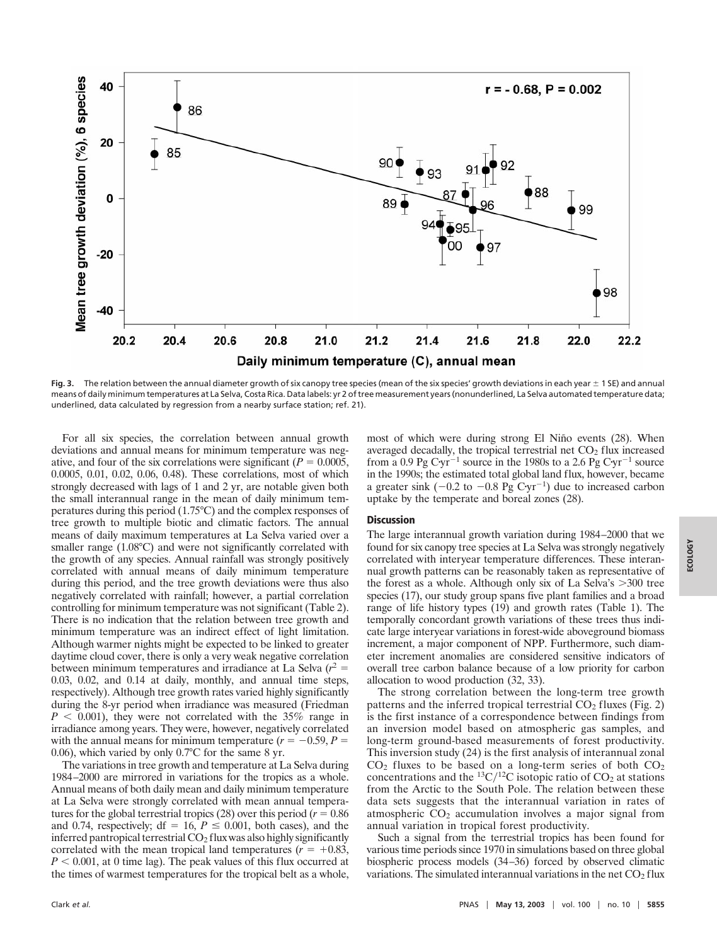

Fig. 3. The relation between the annual diameter growth of six canopy tree species (mean of the six species' growth deviations in each year  $\pm$  1 SE) and annual means of daily minimum temperatures at La Selva, Costa Rica. Data labels: yr 2 of tree measurement years (nonunderlined, La Selva automated temperature data; underlined, data calculated by regression from a nearby surface station; ref. 21).

For all six species, the correlation between annual growth deviations and annual means for minimum temperature was negative, and four of the six correlations were significant ( $P = 0.0005$ , 0.0005, 0.01, 0.02, 0.06, 0.48). These correlations, most of which strongly decreased with lags of 1 and 2 yr, are notable given both the small interannual range in the mean of daily minimum temperatures during this period (1.75°C) and the complex responses of tree growth to multiple biotic and climatic factors. The annual means of daily maximum temperatures at La Selva varied over a smaller range (1.08°C) and were not significantly correlated with the growth of any species. Annual rainfall was strongly positively correlated with annual means of daily minimum temperature during this period, and the tree growth deviations were thus also negatively correlated with rainfall; however, a partial correlation controlling for minimum temperature was not significant (Table 2). There is no indication that the relation between tree growth and minimum temperature was an indirect effect of light limitation. Although warmer nights might be expected to be linked to greater daytime cloud cover, there is only a very weak negative correlation between minimum temperatures and irradiance at La Selva  $(r^2 =$ 0.03, 0.02, and 0.14 at daily, monthly, and annual time steps, respectively). Although tree growth rates varied highly significantly during the 8-yr period when irradiance was measured (Friedman  $P < 0.001$ , they were not correlated with the 35% range in irradiance among years. They were, however, negatively correlated with the annual means for minimum temperature  $(r = -0.59, P =$ 0.06), which varied by only 0.7°C for the same 8 yr.

The variations in tree growth and temperature at La Selva during 1984–2000 are mirrored in variations for the tropics as a whole. Annual means of both daily mean and daily minimum temperature at La Selva were strongly correlated with mean annual temperatures for the global terrestrial tropics  $(28)$  over this period ( $r = 0.86$ ) and 0.74, respectively; df = 16,  $P \le 0.001$ , both cases), and the inferred pantropical terrestrial  $CO<sub>2</sub>$  flux was also highly significantly correlated with the mean tropical land temperatures  $(r = +0.83,$  $P < 0.001$ , at 0 time lag). The peak values of this flux occurred at the times of warmest temperatures for the tropical belt as a whole, most of which were during strong El Niño events (28). When averaged decadally, the tropical terrestrial net  $CO<sub>2</sub>$  flux increased from a 0.9 Pg Cyr<sup>-1</sup> source in the 1980s to a 2.6 Pg Cyr<sup>-1</sup> source in the 1990s; the estimated total global land flux, however, became a greater sink  $(-0.2 \text{ to } -0.8 \text{ pg Cyr}^{-1})$  due to increased carbon uptake by the temperate and boreal zones (28).

#### **Discussion**

The large interannual growth variation during 1984–2000 that we found for six canopy tree species at La Selva was strongly negatively correlated with interyear temperature differences. These interannual growth patterns can be reasonably taken as representative of the forest as a whole. Although only six of La Selva's  $>300$  tree species (17), our study group spans five plant families and a broad range of life history types (19) and growth rates (Table 1). The temporally concordant growth variations of these trees thus indicate large interyear variations in forest-wide aboveground biomass increment, a major component of NPP. Furthermore, such diameter increment anomalies are considered sensitive indicators of overall tree carbon balance because of a low priority for carbon allocation to wood production (32, 33).

The strong correlation between the long-term tree growth patterns and the inferred tropical terrestrial  $CO<sub>2</sub>$  fluxes (Fig. 2) is the first instance of a correspondence between findings from an inversion model based on atmospheric gas samples, and long-term ground-based measurements of forest productivity. This inversion study (24) is the first analysis of interannual zonal  $CO<sub>2</sub>$  fluxes to be based on a long-term series of both  $CO<sub>2</sub>$ concentrations and the <sup>13</sup>C/<sup>12</sup>C isotopic ratio of  $CO<sub>2</sub>$  at stations from the Arctic to the South Pole. The relation between these data sets suggests that the interannual variation in rates of atmospheric  $CO<sub>2</sub>$  accumulation involves a major signal from annual variation in tropical forest productivity.

Such a signal from the terrestrial tropics has been found for various time periods since 1970 in simulations based on three global biospheric process models (34–36) forced by observed climatic variations. The simulated interannual variations in the net  $CO<sub>2</sub>$  flux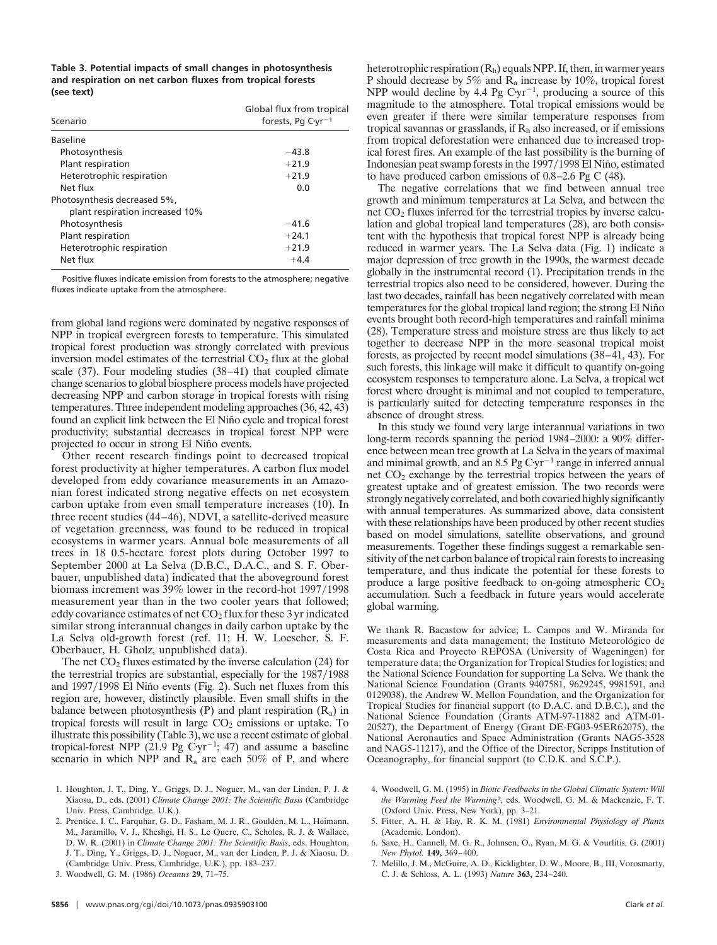**Table 3. Potential impacts of small changes in photosynthesis and respiration on net carbon fluxes from tropical forests (see text)**

| Scenario                                                        | Global flux from tropical<br>forests, Pg $C\cdot yr^{-1}$ |
|-----------------------------------------------------------------|-----------------------------------------------------------|
| <b>Baseline</b>                                                 |                                                           |
| Photosynthesis                                                  | $-43.8$                                                   |
| Plant respiration                                               | $+21.9$                                                   |
| Heterotrophic respiration                                       | $+21.9$                                                   |
| Net flux                                                        | 0.0                                                       |
| Photosynthesis decreased 5%,<br>plant respiration increased 10% |                                                           |
| Photosynthesis                                                  | $-41.6$                                                   |
| Plant respiration                                               | $+24.1$                                                   |
| Heterotrophic respiration                                       | $+21.9$                                                   |
| Net flux                                                        | $+4.4$                                                    |

Positive fluxes indicate emission from forests to the atmosphere; negative fluxes indicate uptake from the atmosphere.

from global land regions were dominated by negative responses of NPP in tropical evergreen forests to temperature. This simulated tropical forest production was strongly correlated with previous inversion model estimates of the terrestrial  $CO<sub>2</sub>$  flux at the global scale (37). Four modeling studies (38–41) that coupled climate change scenarios to global biosphere process models have projected decreasing NPP and carbon storage in tropical forests with rising temperatures. Three independent modeling approaches (36, 42, 43) found an explicit link between the El Niño cycle and tropical forest productivity; substantial decreases in tropical forest NPP were projected to occur in strong El Niño events.

Other recent research findings point to decreased tropical forest productivity at higher temperatures. A carbon flux model developed from eddy covariance measurements in an Amazonian forest indicated strong negative effects on net ecosystem carbon uptake from even small temperature increases (10). In three recent studies (44–46), NDVI, a satellite-derived measure of vegetation greenness, was found to be reduced in tropical ecosystems in warmer years. Annual bole measurements of all trees in 18 0.5-hectare forest plots during October 1997 to September 2000 at La Selva (D.B.C., D.A.C., and S. F. Oberbauer, unpublished data) indicated that the aboveground forest biomass increment was 39% lower in the record-hot 1997/1998 measurement year than in the two cooler years that followed; eddy covariance estimates of net  $CO<sub>2</sub>$  flux for these 3 yr indicated similar strong interannual changes in daily carbon uptake by the La Selva old-growth forest (ref. 11; H. W. Loescher, S. F. Oberbauer, H. Gholz, unpublished data).

The net  $CO<sub>2</sub>$  fluxes estimated by the inverse calculation (24) for the terrestrial tropics are substantial, especially for the  $1987/1988$ and  $1997/1998$  El Niño events (Fig. 2). Such net fluxes from this region are, however, distinctly plausible. Even small shifts in the balance between photosynthesis (P) and plant respiration  $(R_a)$  in tropical forests will result in large  $CO<sub>2</sub>$  emissions or uptake. To illustrate this possibility (Table 3), we use a recent estimate of global tropical-forest NPP (21.9 Pg  $Cyr^{-1}$ ; 47) and assume a baseline scenario in which NPP and  $R_a$  are each 50% of P, and where heterotrophic respiration (Rh) equals NPP. If, then, in warmer years P should decrease by 5% and  $\overline{R}_a$  increase by 10%, tropical forest NPP would decline by 4.4 Pg  $Cyr^{-1}$ , producing a source of this magnitude to the atmosphere. Total tropical emissions would be even greater if there were similar temperature responses from tropical savannas or grasslands, if  $R<sub>h</sub>$  also increased, or if emissions from tropical deforestation were enhanced due to increased tropical forest fires. An example of the last possibility is the burning of Indonesian peat swamp forests in the 1997/1998 El Niño, estimated to have produced carbon emissions of 0.8–2.6 Pg C (48).

The negative correlations that we find between annual tree growth and minimum temperatures at La Selva, and between the net  $CO<sub>2</sub>$  fluxes inferred for the terrestrial tropics by inverse calculation and global tropical land temperatures (28), are both consistent with the hypothesis that tropical forest NPP is already being reduced in warmer years. The La Selva data (Fig. 1) indicate a major depression of tree growth in the 1990s, the warmest decade globally in the instrumental record (1). Precipitation trends in the terrestrial tropics also need to be considered, however. During the last two decades, rainfall has been negatively correlated with mean temperatures for the global tropical land region; the strong El Niño events brought both record-high temperatures and rainfall minima (28). Temperature stress and moisture stress are thus likely to act together to decrease NPP in the more seasonal tropical moist forests, as projected by recent model simulations (38–41, 43). For such forests, this linkage will make it difficult to quantify on-going ecosystem responses to temperature alone. La Selva, a tropical wet forest where drought is minimal and not coupled to temperature, is particularly suited for detecting temperature responses in the absence of drought stress.

In this study we found very large interannual variations in two long-term records spanning the period 1984–2000: a 90% difference between mean tree growth at La Selva in the years of maximal and minimal growth, and an  $8.5 \text{ Pg Cyr}^{-1}$  range in inferred annual net  $CO<sub>2</sub>$  exchange by the terrestrial tropics between the years of greatest uptake and of greatest emission. The two records were strongly negatively correlated, and both covaried highly significantly with annual temperatures. As summarized above, data consistent with these relationships have been produced by other recent studies based on model simulations, satellite observations, and ground measurements. Together these findings suggest a remarkable sensitivity of the net carbon balance of tropical rain forests to increasing temperature, and thus indicate the potential for these forests to produce a large positive feedback to on-going atmospheric  $CO<sub>2</sub>$ accumulation. Such a feedback in future years would accelerate global warming.

We thank R. Bacastow for advice; L. Campos and W. Miranda for measurements and data management; the Instituto Meteorológico de Costa Rica and Proyecto REPOSA (University of Wageningen) for temperature data; the Organization for Tropical Studies for logistics; and the National Science Foundation for supporting La Selva. We thank the National Science Foundation (Grants 9407581, 9629245, 9981591, and 0129038), the Andrew W. Mellon Foundation, and the Organization for Tropical Studies for financial support (to D.A.C. and D.B.C.), and the National Science Foundation (Grants ATM-97-11882 and ATM-01- 20527), the Department of Energy (Grant DE-FG03-95ER62075), the National Aeronautics and Space Administration (Grants NAG5-3528 and NAG5-11217), and the Office of the Director, Scripps Institution of Oceanography, for financial support (to C.D.K. and S.C.P.).

- 4. Woodwell, G. M. (1995) in *Biotic Feedbacks in the Global Climatic System: Will the Warming Feed the Warming?*, eds. Woodwell, G. M. & Mackenzie, F. T. (Oxford Univ. Press, New York), pp. 3–21.
- 5. Fitter, A. H. & Hay, R. K. M. (1981) *Environmental Physiology of Plants* (Academic, London).
- 6. Saxe, H., Cannell, M. G. R., Johnsen, O., Ryan, M. G. & Vourlitis, G. (2001) *New Phytol.* **149,** 369–400.
- 7. Melillo, J. M., McGuire, A. D., Kicklighter, D. W., Moore, B., III, Vorosmarty, C. J. & Schloss, A. L. (1993) *Nature* **363,** 234–240.

<sup>1.</sup> Houghton, J. T., Ding, Y., Griggs, D. J., Noguer, M., van der Linden, P. J. & Xiaosu, D., eds. (2001) *Climate Change 2001: The Scientific Basis* (Cambridge Univ. Press, Cambridge, U.K.).

<sup>2.</sup> Prentice, I. C., Farquhar, G. D., Fasham, M. J. R., Goulden, M. L., Heimann, M., Jaramillo, V. J., Kheshgi, H. S., Le Quere, C., Scholes, R. J. & Wallace, D. W. R. (2001) in *Climate Change 2001: The Scientific Basis*, eds. Houghton, J. T., Ding, Y., Griggs, D. J., Noguer, M., van der Linden, P. J. & Xiaosu, D. (Cambridge Univ. Press, Cambridge, U.K.), pp. 183–237.

<sup>3.</sup> Woodwell, G. M. (1986) *Oceanus* **29,** 71–75.